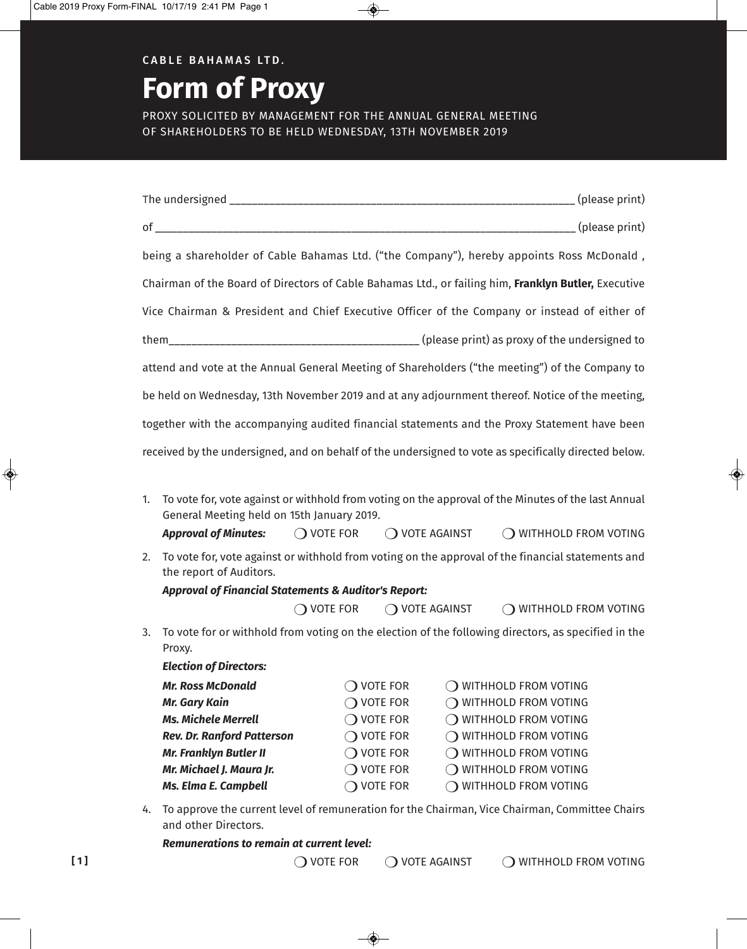## **C A B L E B A H A M A S LT D.**

# **Form of Proxy**

PROXY SOLICITED BY MANAGEMENT FOR THE ANNUAL GENERAL MEETING OF SHAREHOLDERS TO BE HELD WEDNESDAY, 13TH NOvEMBER 2019

| being a shareholder of Cable Bahamas Ltd. ("the Company"), hereby appoints Ross McDonald,                                                               |                     |                         |                                                     |  |  |  |  |
|---------------------------------------------------------------------------------------------------------------------------------------------------------|---------------------|-------------------------|-----------------------------------------------------|--|--|--|--|
|                                                                                                                                                         |                     |                         |                                                     |  |  |  |  |
| Chairman of the Board of Directors of Cable Bahamas Ltd., or failing him, Franklyn Butler, Executive                                                    |                     |                         |                                                     |  |  |  |  |
| Vice Chairman & President and Chief Executive Officer of the Company or instead of either of                                                            |                     |                         |                                                     |  |  |  |  |
|                                                                                                                                                         |                     |                         |                                                     |  |  |  |  |
| attend and vote at the Annual General Meeting of Shareholders ("the meeting") of the Company to                                                         |                     |                         |                                                     |  |  |  |  |
| be held on Wednesday, 13th November 2019 and at any adjournment thereof. Notice of the meeting,                                                         |                     |                         |                                                     |  |  |  |  |
|                                                                                                                                                         |                     |                         |                                                     |  |  |  |  |
| together with the accompanying audited financial statements and the Proxy Statement have been                                                           |                     |                         |                                                     |  |  |  |  |
| received by the undersigned, and on behalf of the undersigned to vote as specifically directed below.                                                   |                     |                         |                                                     |  |  |  |  |
|                                                                                                                                                         |                     |                         |                                                     |  |  |  |  |
| To vote for, vote against or withhold from voting on the approval of the Minutes of the last Annual<br>1.<br>General Meeting held on 15th January 2019. |                     |                         |                                                     |  |  |  |  |
| <b>Approval of Minutes:</b>                                                                                                                             |                     |                         | ○ VOTE FOR ○ VOTE AGAINST ○ WITHHOLD FROM VOTING    |  |  |  |  |
| To vote for, vote against or withhold from voting on the approval of the financial statements and<br>2.                                                 |                     |                         |                                                     |  |  |  |  |
| the report of Auditors.<br><b>Approval of Financial Statements &amp; Auditor's Report:</b>                                                              |                     |                         |                                                     |  |  |  |  |
| $\bigcirc$ vote for                                                                                                                                     |                     | $\bigcirc$ vote against | O WITHHOLD FROM VOTING                              |  |  |  |  |
|                                                                                                                                                         |                     |                         |                                                     |  |  |  |  |
| To vote for or withhold from voting on the election of the following directors, as specified in the<br>3.<br>Proxy.                                     |                     |                         |                                                     |  |  |  |  |
| <b>Election of Directors:</b>                                                                                                                           |                     |                         |                                                     |  |  |  |  |
| <b>Mr. Ross McDonald</b>                                                                                                                                |                     |                         | $\bigcirc$ vote for $\bigcirc$ withhold from voting |  |  |  |  |
| <b>Mr. Gary Kain</b>                                                                                                                                    | $\bigcirc$ vote for |                         | $\bigcirc$ withhold from voting                     |  |  |  |  |
| <b>Ms. Michele Merrell</b>                                                                                                                              | $\bigcirc$ vote for |                         | $\bigcirc$ withhold from voting                     |  |  |  |  |
| <b>Rev. Dr. Ranford Patterson</b>                                                                                                                       | $\bigcirc$ vote for |                         | $\bigcirc$ withhold from voting                     |  |  |  |  |
| <b>Mr. Franklyn Butler II</b>                                                                                                                           | $\bigcirc$ vote for |                         | $\bigcirc$ withhold from voting                     |  |  |  |  |
| Mr. Michael J. Maura Jr.                                                                                                                                | $\bigcirc$ vote for |                         | O WITHHOLD FROM VOTING                              |  |  |  |  |
| <b>Ms. Elma E. Campbell</b>                                                                                                                             | $\bigcirc$ vote for |                         | O WITHHOLD FROM VOTING                              |  |  |  |  |
| To approve the current level of remuneration for the Chairman, Vice Chairman, Committee Chairs<br>4.                                                    |                     |                         |                                                     |  |  |  |  |

4. To approve the current level of remuneration for the Chairman, vice Chairman, Committee Chairs and other Directors.

| <b>Remunerations to remain at current level:</b> |  |  |  |
|--------------------------------------------------|--|--|--|
|                                                  |  |  |  |